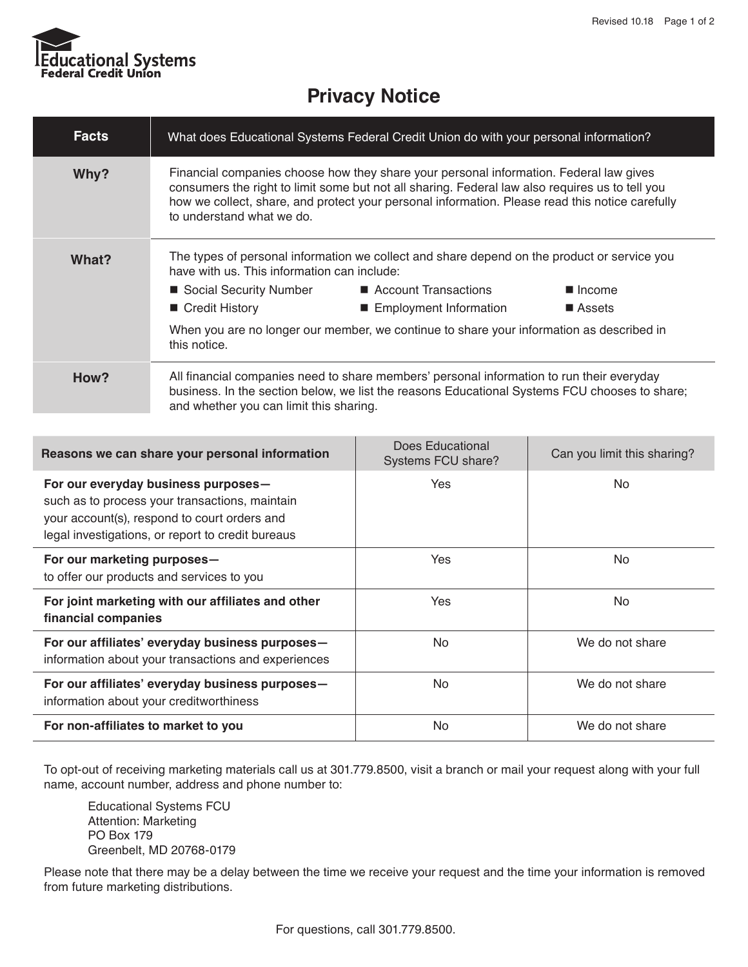

## **Privacy Notice**

| <b>Facts</b> | What does Educational Systems Federal Credit Union do with your personal information?                                                                                                                                                                                                                                     |                                                                                                                                                                                                                                             |                                   |
|--------------|---------------------------------------------------------------------------------------------------------------------------------------------------------------------------------------------------------------------------------------------------------------------------------------------------------------------------|---------------------------------------------------------------------------------------------------------------------------------------------------------------------------------------------------------------------------------------------|-----------------------------------|
| Why?         | Financial companies choose how they share your personal information. Federal law gives<br>consumers the right to limit some but not all sharing. Federal law also requires us to tell you<br>how we collect, share, and protect your personal information. Please read this notice carefully<br>to understand what we do. |                                                                                                                                                                                                                                             |                                   |
| What?        | have with us. This information can include:<br>■ Social Security Number<br>■ Credit History<br>this notice.                                                                                                                                                                                                               | The types of personal information we collect and share depend on the product or service you<br>Account Transactions<br>■ Employment Information<br>When you are no longer our member, we continue to share your information as described in | $\blacksquare$ Income<br>■ Assets |
| How?         | All financial companies need to share members' personal information to run their everyday<br>business. In the section below, we list the reasons Educational Systems FCU chooses to share;<br>and whether you can limit this sharing.                                                                                     |                                                                                                                                                                                                                                             |                                   |

| Reasons we can share your personal information                                                                                                                                             | Does Educational<br>Systems FCU share? | Can you limit this sharing? |
|--------------------------------------------------------------------------------------------------------------------------------------------------------------------------------------------|----------------------------------------|-----------------------------|
| For our everyday business purposes-<br>such as to process your transactions, maintain<br>your account(s), respond to court orders and<br>legal investigations, or report to credit bureaus | Yes                                    | No                          |
| For our marketing purposes-<br>to offer our products and services to you                                                                                                                   | Yes                                    | No                          |
| For joint marketing with our affiliates and other<br>financial companies                                                                                                                   | <b>Yes</b>                             | No.                         |
| For our affiliates' everyday business purposes-<br>information about your transactions and experiences                                                                                     | <b>No</b>                              | We do not share             |
| For our affiliates' everyday business purposes-<br>information about your creditworthiness                                                                                                 | No.                                    | We do not share             |
| For non-affiliates to market to you                                                                                                                                                        | <b>No</b>                              | We do not share             |

To opt-out of receiving marketing materials call us at 301.779.8500, visit a branch or mail your request along with your full name, account number, address and phone number to:

Educational Systems FCU Attention: Marketing PO Box 179 Greenbelt, MD 20768-0179

Please note that there may be a delay between the time we receive your request and the time your information is removed from future marketing distributions.